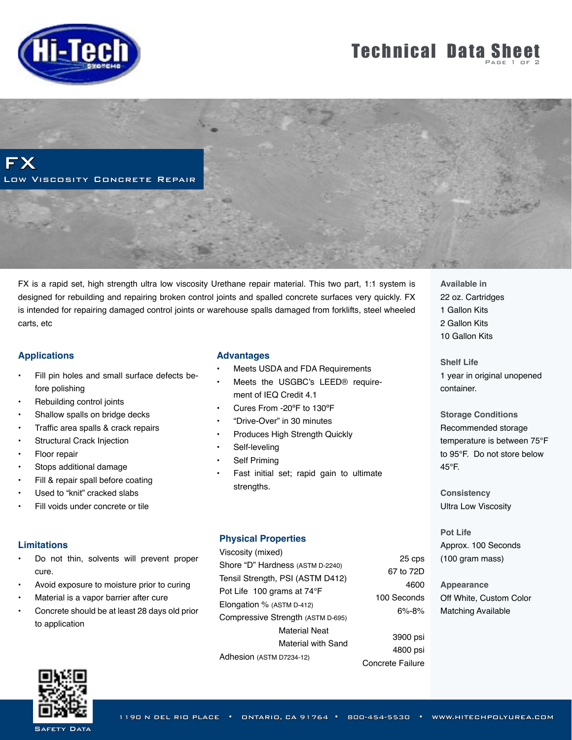

## **Technical Data Sheet**

FX Low Viscosity Concrete Repair

FX is a rapid set, high strength ultra low viscosity Urethane repair material. This two part, 1:1 system is designed for rebuilding and repairing broken control joints and spalled concrete surfaces very quickly. FX is intended for repairing damaged control joints or warehouse spalls damaged from forklifts, steel wheeled carts, etc

### **Applications**

- Fill pin holes and small surface defects before polishing
- Rebuilding control joints
- Shallow spalls on bridge decks
- Traffic area spalls & crack repairs
- **Structural Crack Injection**
- Floor repair
- Stops additional damage
- Fill & repair spall before coating
- Used to "knit" cracked slabs
- Fill voids under concrete or tile

### **Limitations**

- Do not thin, solvents will prevent proper cure.
- Avoid exposure to moisture prior to curing
- Material is a vapor barrier after cure
- Concrete should be at least 28 days old prior to application

#### **Advantages**

- **Meets USDA and FDA Requirements** 
	- Meets the USGBC's LEED® require-
- ment of IEQ Credit 4.1
- Cures From -20ºF to 130ºF
- "Drive-Over" in 30 minutes
- Produces High Strength Quickly
- Self-leveling
- Self Priming
- Fast initial set; rapid gain to ultimate strengths.

### **Physical Properties**

Viscosity (mixed) Shore "D" Hardness (ASTM D-2240) Tensil Strength, PSI (ASTM D412)

Pot Life 100 grams at 74°F Elongation % (ASTM D-412)

Compressive Strength (ASTM D-695)

Material Neat

Material with Sand

Adhesion (ASTM D7234-12)

25 cps 67 to 72D 4600 100 Seconds 6%-8%

3900 psi 4800 psi Concrete Failure

**Available in** 22 oz. Cartridges 1 Gallon Kits 2 Gallon Kits 10 Gallon Kits

**Shelf Life**  1 year in original unopened container.

**Storage Conditions** Recommended storage temperature is between 75°F to 95°F. Do not store below 45°F.

**Consistency** Ultra Low Viscosity

**Pot Life** Approx. 100 Seconds (100 gram mass)

**Appearance** Off White, Custom Color Matching Available